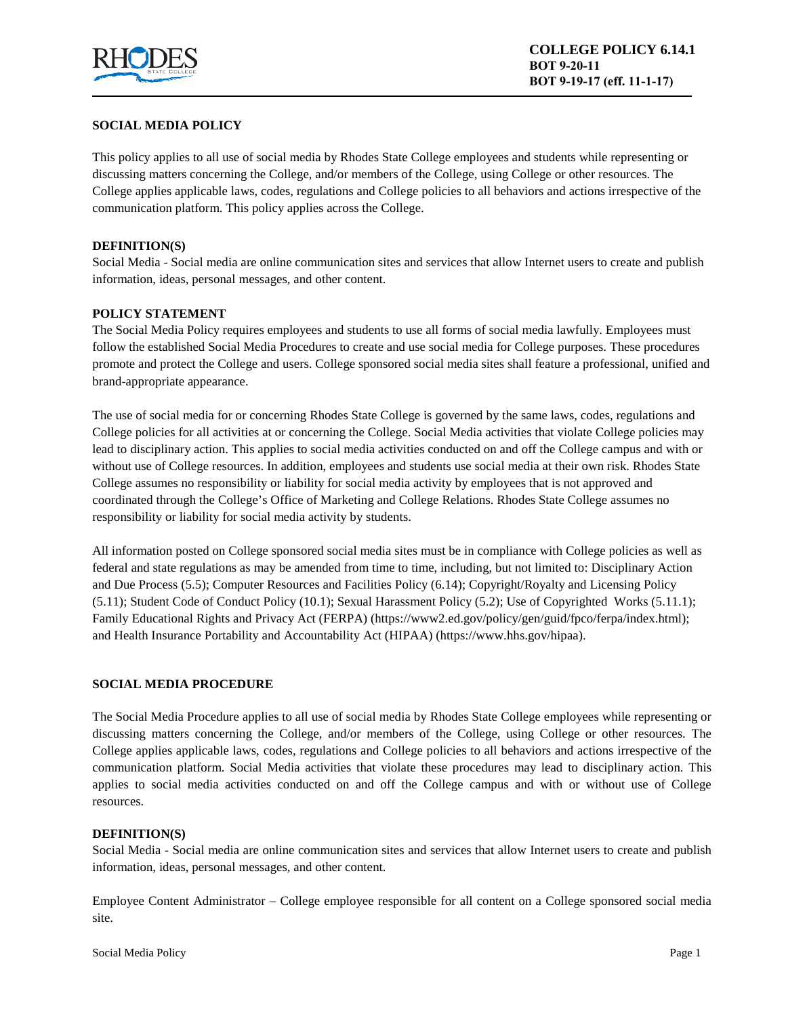

# **SOCIAL MEDIA POLICY**

This policy applies to all use of social media by Rhodes State College employees and students while representing or discussing matters concerning the College, and/or members of the College, using College or other resources. The College applies applicable laws, codes, regulations and College policies to all behaviors and actions irrespective of the communication platform. This policy applies across the College.

## **DEFINITION(S)**

Social Media - Social media are online communication sites and services that allow Internet users to create and publish information, ideas, personal messages, and other content.

# **POLICY STATEMENT**

The Social Media Policy requires employees and students to use all forms of social media lawfully. Employees must follow the established Social Media Procedures to create and use social media for College purposes. These procedures promote and protect the College and users. College sponsored social media sites shall feature a professional, unified and brand-appropriate appearance.

The use of social media for or concerning Rhodes State College is governed by the same laws, codes, regulations and College policies for all activities at or concerning the College. Social Media activities that violate College policies may lead to disciplinary action. This applies to social media activities conducted on and off the College campus and with or without use of College resources. In addition, employees and students use social media at their own risk. Rhodes State College assumes no responsibility or liability for social media activity by employees that is not approved and coordinated through the College's Office of Marketing and College Relations. Rhodes State College assumes no responsibility or liability for social media activity by students.

All information posted on College sponsored social media sites must be in compliance with College policies as well as federal and state regulations as may be amended from time to time, including, but not limited to: Disciplinary Action and Due Process (5.5); Computer Resources and Facilities Policy (6.14); Copyright/Royalty and Licensing Policy (5.11); Student Code of Conduct Policy (10.1); Sexual Harassment Policy (5.2); Use of Copyrighted Works (5.11.1); Family Educational Rights and Privacy Act (FERPA) (https://www2.ed.gov/policy/gen/guid/fpco/ferpa/index.html); and Health Insurance Portability and Accountability Act (HIPAA) (https://www.hhs.gov/hipaa).

# **SOCIAL MEDIA PROCEDURE**

The Social Media Procedure applies to all use of social media by Rhodes State College employees while representing or discussing matters concerning the College, and/or members of the College, using College or other resources. The College applies applicable laws, codes, regulations and College policies to all behaviors and actions irrespective of the communication platform. Social Media activities that violate these procedures may lead to disciplinary action. This applies to social media activities conducted on and off the College campus and with or without use of College resources.

#### **DEFINITION(S)**

Social Media - Social media are online communication sites and services that allow Internet users to create and publish information, ideas, personal messages, and other content.

Employee Content Administrator – College employee responsible for all content on a College sponsored social media site.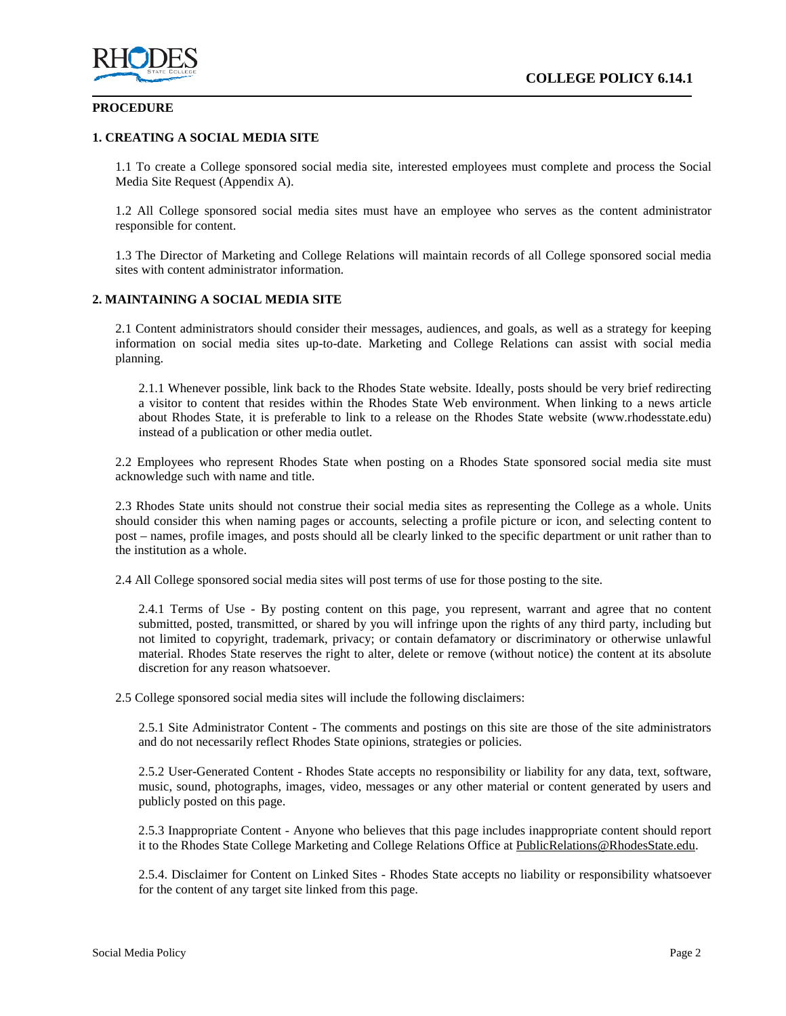

#### **PROCEDURE**

## **1. CREATING A SOCIAL MEDIA SITE**

1.1 To create a College sponsored social media site, interested employees must complete and process the Social Media Site Request (Appendix A).

1.2 All College sponsored social media sites must have an employee who serves as the content administrator responsible for content.

1.3 The Director of Marketing and College Relations will maintain records of all College sponsored social media sites with content administrator information.

## **2. MAINTAINING A SOCIAL MEDIA SITE**

2.1 Content administrators should consider their messages, audiences, and goals, as well as a strategy for keeping information on social media sites up-to-date. Marketing and College Relations can assist with social media planning.

2.1.1 Whenever possible, link back to the Rhodes State website. Ideally, posts should be very brief redirecting a visitor to content that resides within the Rhodes State Web environment. When linking to a news article about Rhodes State, it is preferable to link to a release on the Rhodes State website (www.rhodesstate.edu) instead of a publication or other media outlet.

2.2 Employees who represent Rhodes State when posting on a Rhodes State sponsored social media site must acknowledge such with name and title.

2.3 Rhodes State units should not construe their social media sites as representing the College as a whole. Units should consider this when naming pages or accounts, selecting a profile picture or icon, and selecting content to post – names, profile images, and posts should all be clearly linked to the specific department or unit rather than to the institution as a whole.

2.4 All College sponsored social media sites will post terms of use for those posting to the site.

2.4.1 Terms of Use - By posting content on this page, you represent, warrant and agree that no content submitted, posted, transmitted, or shared by you will infringe upon the rights of any third party, including but not limited to copyright, trademark, privacy; or contain defamatory or discriminatory or otherwise unlawful material. Rhodes State reserves the right to alter, delete or remove (without notice) the content at its absolute discretion for any reason whatsoever.

2.5 College sponsored social media sites will include the following disclaimers:

2.5.1 Site Administrator Content - The comments and postings on this site are those of the site administrators and do not necessarily reflect Rhodes State opinions, strategies or policies.

2.5.2 User-Generated Content - Rhodes State accepts no responsibility or liability for any data, text, software, music, sound, photographs, images, video, messages or any other material or content generated by users and publicly posted on this page.

2.5.3 Inappropriate Content - Anyone who believes that this page includes inappropriate content should report it to the Rhodes State College Marketing and College Relations Office at PublicRelations@RhodesState.edu.

2.5.4. Disclaimer for Content on Linked Sites - Rhodes State accepts no liability or responsibility whatsoever for the content of any target site linked from this page.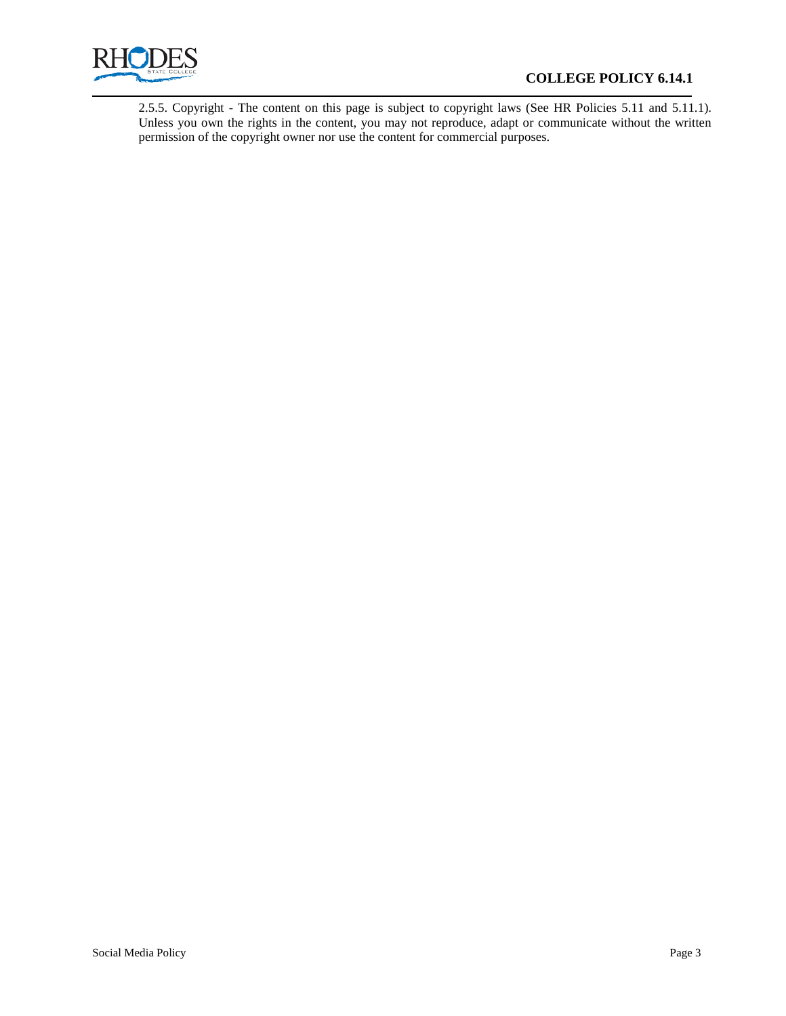

# **COLLEGE POLICY 6.14.1**

2.5.5. Copyright - The content on this page is subject to copyright laws (See HR Policies 5.11 and 5.11.1). Unless you own the rights in the content, you may not reproduce, adapt or communicate without the written permission of the copyright owner nor use the content for commercial purposes.